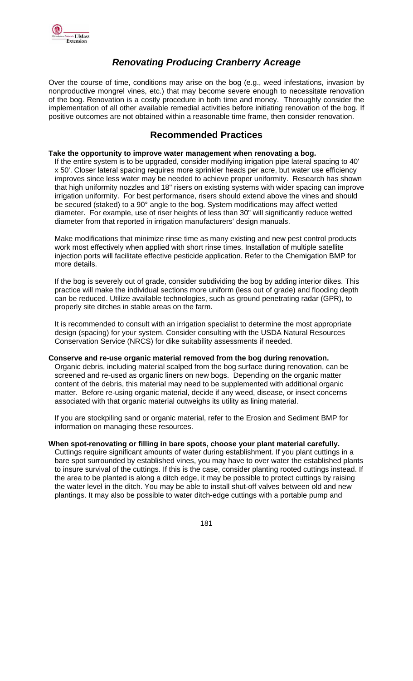

# *Renovating Producing Cranberry Acreage*

Over the course of time, conditions may arise on the bog (e.g., weed infestations, invasion by nonproductive mongrel vines, etc.) that may become severe enough to necessitate renovation of the bog. Renovation is a costly procedure in both time and money. Thoroughly consider the implementation of all other available remedial activities before initiating renovation of the bog. If positive outcomes are not obtained within a reasonable time frame, then consider renovation.

# **Recommended Practices**

#### **Take the opportunity to improve water management when renovating a bog.**

If the entire system is to be upgraded, consider modifying irrigation pipe lateral spacing to 40' x 50'. Closer lateral spacing requires more sprinkler heads per acre, but water use efficiency improves since less water may be needed to achieve proper uniformity. Research has shown that high uniformity nozzles and 18" risers on existing systems with wider spacing can improve irrigation uniformity. For best performance, risers should extend above the vines and should be secured (staked) to a 90° angle to the bog. System modifications may affect wetted diameter. For example, use of riser heights of less than 30" will significantly reduce wetted diameter from that reported in irrigation manufacturers' design manuals.

Make modifications that minimize rinse time as many existing and new pest control products work most effectively when applied with short rinse times. Installation of multiple satellite injection ports will facilitate effective pesticide application. Refer to the Chemigation BMP for more details.

If the bog is severely out of grade, consider subdividing the bog by adding interior dikes. This practice will make the individual sections more uniform (less out of grade) and flooding depth can be reduced. Utilize available technologies, such as ground penetrating radar (GPR), to properly site ditches in stable areas on the farm.

It is recommended to consult with an irrigation specialist to determine the most appropriate design (spacing) for your system. Consider consulting with the USDA Natural Resources Conservation Service (NRCS) for dike suitability assessments if needed.

#### **Conserve and re-use organic material removed from the bog during renovation.**

Organic debris, including material scalped from the bog surface during renovation, can be screened and re-used as organic liners on new bogs. Depending on the organic matter content of the debris, this material may need to be supplemented with additional organic matter. Before re-using organic material, decide if any weed, disease, or insect concerns associated with that organic material outweighs its utility as lining material.

If you are stockpiling sand or organic material, refer to the Erosion and Sediment BMP for information on managing these resources.

#### **When spot-renovating or filling in bare spots, choose your plant material carefully.**

Cuttings require significant amounts of water during establishment. If you plant cuttings in a bare spot surrounded by established vines, you may have to over water the established plants to insure survival of the cuttings. If this is the case, consider planting rooted cuttings instead. If the area to be planted is along a ditch edge, it may be possible to protect cuttings by raising the water level in the ditch. You may be able to install shut-off valves between old and new plantings. It may also be possible to water ditch-edge cuttings with a portable pump and

<u>1819 - Johann Stein, Amerikaansk politiker (</u>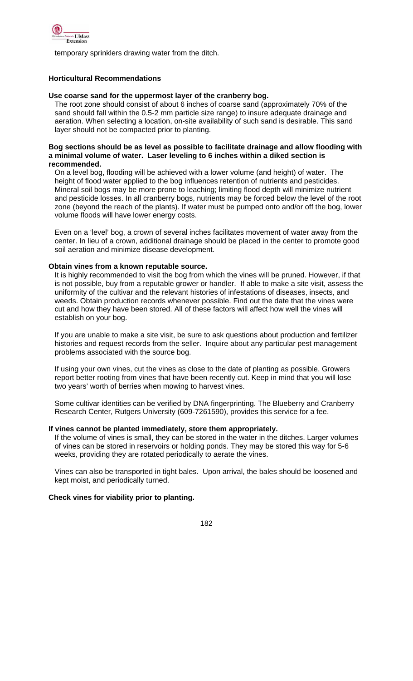

temporary sprinklers drawing water from the ditch.

## **Horticultural Recommendations**

#### **Use coarse sand for the uppermost layer of the cranberry bog.**

The root zone should consist of about 6 inches of coarse sand (approximately 70% of the sand should fall within the 0.5-2 mm particle size range) to insure adequate drainage and aeration. When selecting a location, on-site availability of such sand is desirable. This sand layer should not be compacted prior to planting.

#### **Bog sections should be as level as possible to facilitate drainage and allow flooding with a minimal volume of water. Laser leveling to 6 inches within a diked section is recommended.**

On a level bog, flooding will be achieved with a lower volume (and height) of water. The height of flood water applied to the bog influences retention of nutrients and pesticides. Mineral soil bogs may be more prone to leaching; limiting flood depth will minimize nutrient and pesticide losses. In all cranberry bogs, nutrients may be forced below the level of the root zone (beyond the reach of the plants). If water must be pumped onto and/or off the bog, lower volume floods will have lower energy costs.

Even on a 'level' bog, a crown of several inches facilitates movement of water away from the center. In lieu of a crown, additional drainage should be placed in the center to promote good soil aeration and minimize disease development.

### **Obtain vines from a known reputable source.**

It is highly recommended to visit the bog from which the vines will be pruned. However, if that is not possible, buy from a reputable grower or handler. If able to make a site visit, assess the uniformity of the cultivar and the relevant histories of infestations of diseases, insects, and weeds. Obtain production records whenever possible. Find out the date that the vines were cut and how they have been stored. All of these factors will affect how well the vines will establish on your bog.

If you are unable to make a site visit, be sure to ask questions about production and fertilizer histories and request records from the seller. Inquire about any particular pest management problems associated with the source bog.

If using your own vines, cut the vines as close to the date of planting as possible. Growers report better rooting from vines that have been recently cut. Keep in mind that you will lose two years' worth of berries when mowing to harvest vines.

Some cultivar identities can be verified by DNA fingerprinting. The Blueberry and Cranberry Research Center, Rutgers University (609-7261590), provides this service for a fee.

#### **If vines cannot be planted immediately, store them appropriately.**

If the volume of vines is small, they can be stored in the water in the ditches. Larger volumes of vines can be stored in reservoirs or holding ponds. They may be stored this way for 5-6 weeks, providing they are rotated periodically to aerate the vines.

Vines can also be transported in tight bales. Upon arrival, the bales should be loosened and kept moist, and periodically turned.

## **Check vines for viability prior to planting.**

 $182$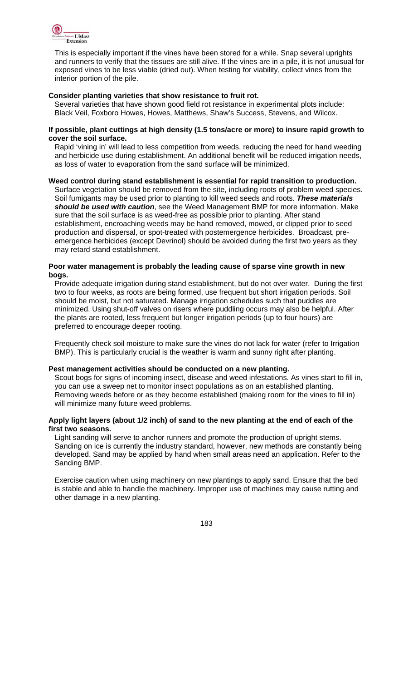

This is especially important if the vines have been stored for a while. Snap several uprights and runners to verify that the tissues are still alive. If the vines are in a pile, it is not unusual for exposed vines to be less viable (dried out). When testing for viability, collect vines from the interior portion of the pile.

#### **Consider planting varieties that show resistance to fruit rot.**

Several varieties that have shown good field rot resistance in experimental plots include: Black Veil, Foxboro Howes, Howes, Matthews, Shaw's Success, Stevens, and Wilcox.

#### **If possible, plant cuttings at high density (1.5 tons/acre or more) to insure rapid growth to cover the soil surface.**

Rapid 'vining in' will lead to less competition from weeds, reducing the need for hand weeding and herbicide use during establishment. An additional benefit will be reduced irrigation needs, as loss of water to evaporation from the sand surface will be minimized.

### **Weed control during stand establishment is essential for rapid transition to production.**

Surface vegetation should be removed from the site, including roots of problem weed species. Soil fumigants may be used prior to planting to kill weed seeds and roots. *These materials should be used with caution*, see the Weed Management BMP for more information. Make sure that the soil surface is as weed-free as possible prior to planting. After stand establishment, encroaching weeds may be hand removed, mowed, or clipped prior to seed production and dispersal, or spot-treated with postemergence herbicides. Broadcast, preemergence herbicides (except Devrinol) should be avoided during the first two years as they may retard stand establishment.

### **Poor water management is probably the leading cause of sparse vine growth in new bogs.**

Provide adequate irrigation during stand establishment, but do not over water. During the first two to four weeks, as roots are being formed, use frequent but short irrigation periods. Soil should be moist, but not saturated. Manage irrigation schedules such that puddles are minimized. Using shut-off valves on risers where puddling occurs may also be helpful. After the plants are rooted, less frequent but longer irrigation periods (up to four hours) are preferred to encourage deeper rooting.

Frequently check soil moisture to make sure the vines do not lack for water (refer to Irrigation BMP). This is particularly crucial is the weather is warm and sunny right after planting.

#### **Pest management activities should be conducted on a new planting.**

Scout bogs for signs of incoming insect, disease and weed infestations. As vines start to fill in, you can use a sweep net to monitor insect populations as on an established planting. Removing weeds before or as they become established (making room for the vines to fill in) will minimize many future weed problems.

### **Apply light layers (about 1/2 inch) of sand to the new planting at the end of each of the first two seasons.**

Light sanding will serve to anchor runners and promote the production of upright stems. Sanding on ice is currently the industry standard, however, new methods are constantly being developed. Sand may be applied by hand when small areas need an application. Refer to the Sanding BMP.

Exercise caution when using machinery on new plantings to apply sand. Ensure that the bed is stable and able to handle the machinery. Improper use of machines may cause rutting and other damage in a new planting.

<u>183 - John Stein, Amerikaansk politiker (</u>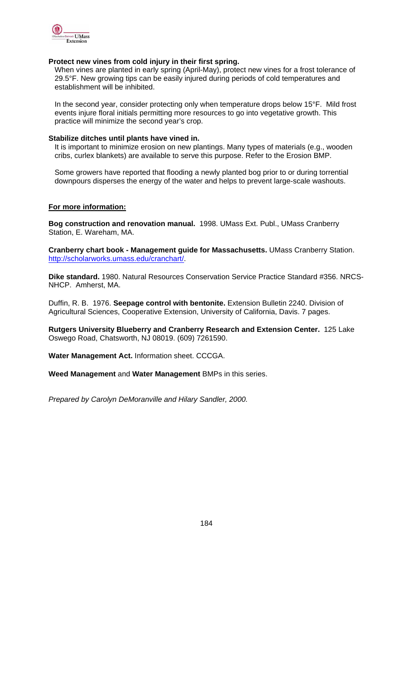

#### **Protect new vines from cold injury in their first spring.**

When vines are planted in early spring (April-May), protect new vines for a frost tolerance of 29.5°F. New growing tips can be easily injured during periods of cold temperatures and establishment will be inhibited.

In the second year, consider protecting only when temperature drops below 15°F. Mild frost events injure floral initials permitting more resources to go into vegetative growth. This practice will minimize the second year's crop.

#### **Stabilize ditches until plants have vined in.**

It is important to minimize erosion on new plantings. Many types of materials (e.g., wooden cribs, curlex blankets) are available to serve this purpose. Refer to the Erosion BMP.

Some growers have reported that flooding a newly planted bog prior to or during torrential downpours disperses the energy of the water and helps to prevent large-scale washouts.

#### **For more information:**

**Bog construction and renovation manual.** 1998. UMass Ext. Publ., UMass Cranberry Station, E. Wareham, MA.

**Cranberry chart book - Management guide for Massachusetts.** UMass Cranberry Station. http://scholarworks.umass.edu/cranchart/.

**Dike standard.** 1980. Natural Resources Conservation Service Practice Standard #356. NRCS-NHCP. Amherst, MA.

Duffin, R. B. 1976. **Seepage control with bentonite.** Extension Bulletin 2240. Division of Agricultural Sciences, Cooperative Extension, University of California, Davis. 7 pages.

**Rutgers University Blueberry and Cranberry Research and Extension Center.** 125 Lake Oswego Road, Chatsworth, NJ 08019. (609) 7261590.

**Water Management Act.** Information sheet. CCCGA.

**Weed Management** and **Water Management** BMPs in this series.

*Prepared by Carolyn DeMoranville and Hilary Sandler, 2000.* 

 $184$